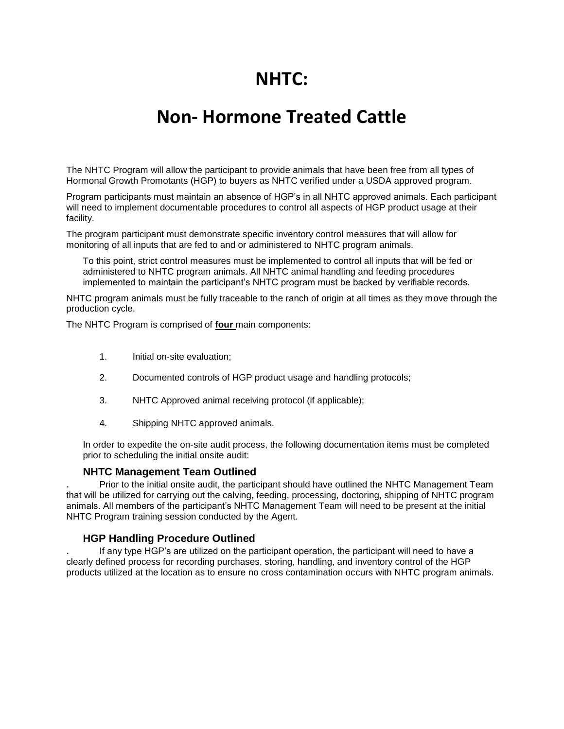# **NHTC:**

# **Non- Hormone Treated Cattle**

The NHTC Program will allow the participant to provide animals that have been free from all types of Hormonal Growth Promotants (HGP) to buyers as NHTC verified under a USDA approved program.

Program participants must maintain an absence of HGP's in all NHTC approved animals. Each participant will need to implement documentable procedures to control all aspects of HGP product usage at their facility.

The program participant must demonstrate specific inventory control measures that will allow for monitoring of all inputs that are fed to and or administered to NHTC program animals.

To this point, strict control measures must be implemented to control all inputs that will be fed or administered to NHTC program animals. All NHTC animal handling and feeding procedures implemented to maintain the participant's NHTC program must be backed by verifiable records.

NHTC program animals must be fully traceable to the ranch of origin at all times as they move through the production cycle.

The NHTC Program is comprised of **four** main components:

- 1. Initial on-site evaluation;
- 2. Documented controls of HGP product usage and handling protocols;
- 3. NHTC Approved animal receiving protocol (if applicable);
- 4. Shipping NHTC approved animals.

In order to expedite the on-site audit process, the following documentation items must be completed prior to scheduling the initial onsite audit:

#### **NHTC Management Team Outlined**

. Prior to the initial onsite audit, the participant should have outlined the NHTC Management Team that will be utilized for carrying out the calving, feeding, processing, doctoring, shipping of NHTC program animals. All members of the participant's NHTC Management Team will need to be present at the initial NHTC Program training session conducted by the Agent.

### **HGP Handling Procedure Outlined**

. If any type HGP's are utilized on the participant operation, the participant will need to have a clearly defined process for recording purchases, storing, handling, and inventory control of the HGP products utilized at the location as to ensure no cross contamination occurs with NHTC program animals.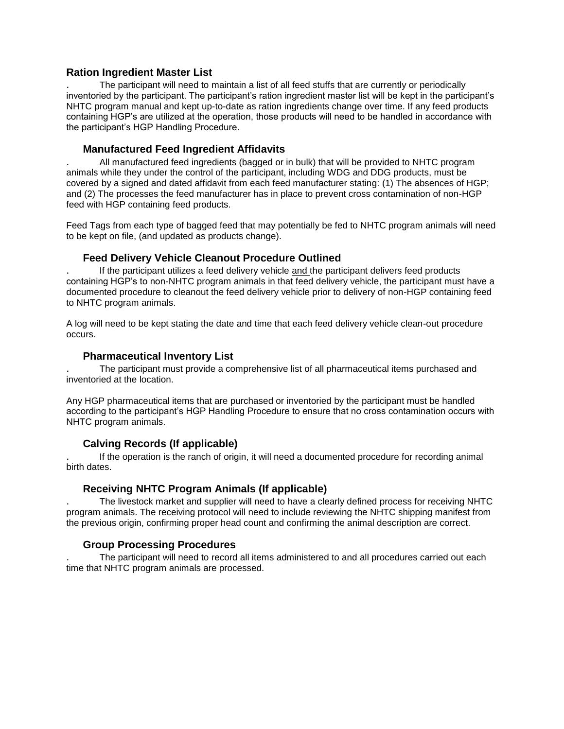## **Ration Ingredient Master List**

. The participant will need to maintain a list of all feed stuffs that are currently or periodically inventoried by the participant. The participant's ration ingredient master list will be kept in the participant's NHTC program manual and kept up-to-date as ration ingredients change over time. If any feed products containing HGP's are utilized at the operation, those products will need to be handled in accordance with the participant's HGP Handling Procedure.

## **Manufactured Feed Ingredient Affidavits**

. All manufactured feed ingredients (bagged or in bulk) that will be provided to NHTC program animals while they under the control of the participant, including WDG and DDG products, must be covered by a signed and dated affidavit from each feed manufacturer stating: (1) The absences of HGP; and (2) The processes the feed manufacturer has in place to prevent cross contamination of non-HGP feed with HGP containing feed products.

Feed Tags from each type of bagged feed that may potentially be fed to NHTC program animals will need to be kept on file, (and updated as products change).

## **Feed Delivery Vehicle Cleanout Procedure Outlined**

. If the participant utilizes a feed delivery vehicle and the participant delivers feed products containing HGP's to non-NHTC program animals in that feed delivery vehicle, the participant must have a documented procedure to cleanout the feed delivery vehicle prior to delivery of non-HGP containing feed to NHTC program animals.

A log will need to be kept stating the date and time that each feed delivery vehicle clean-out procedure occurs.

### **Pharmaceutical Inventory List**

. The participant must provide a comprehensive list of all pharmaceutical items purchased and inventoried at the location.

Any HGP pharmaceutical items that are purchased or inventoried by the participant must be handled according to the participant's HGP Handling Procedure to ensure that no cross contamination occurs with NHTC program animals.

# **Calving Records (If applicable)**

. If the operation is the ranch of origin, it will need a documented procedure for recording animal birth dates.

# **Receiving NHTC Program Animals (If applicable)**

. The livestock market and supplier will need to have a clearly defined process for receiving NHTC program animals. The receiving protocol will need to include reviewing the NHTC shipping manifest from the previous origin, confirming proper head count and confirming the animal description are correct.

### **Group Processing Procedures**

. The participant will need to record all items administered to and all procedures carried out each time that NHTC program animals are processed.